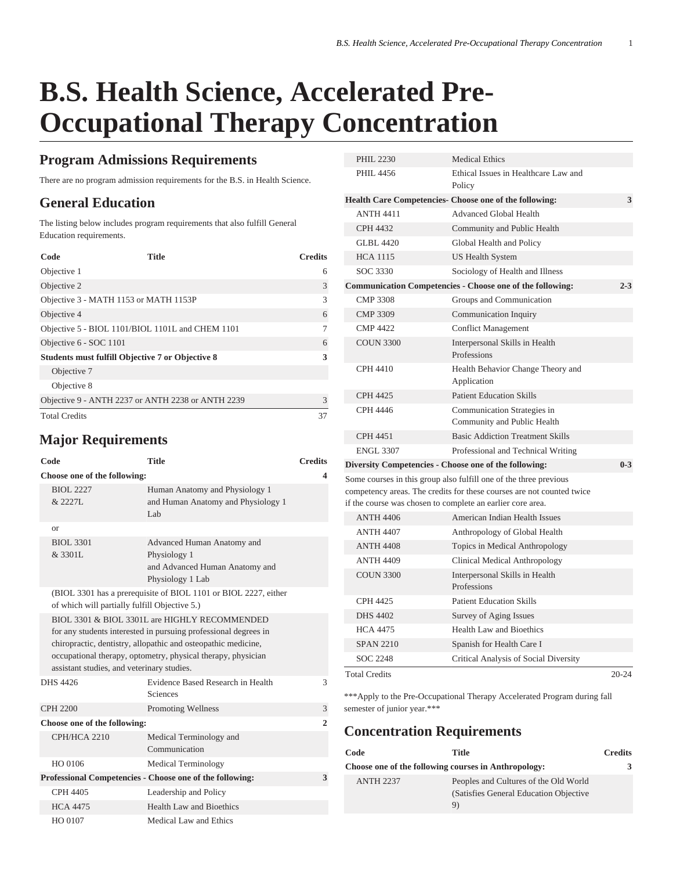# **B.S. Health Science, Accelerated Pre-Occupational Therapy Concentration**

#### **Program Admissions Requirements**

There are no program admission requirements for the B.S. in Health Science.

## **General Education**

The listing below includes program requirements that also fulfill General Education requirements.

| Code                                                    | Title | <b>Credits</b> |
|---------------------------------------------------------|-------|----------------|
| Objective 1                                             |       | 6              |
| Objective 2                                             |       | 3              |
| Objective 3 - MATH 1153 or MATH 1153P                   |       | 3              |
| Objective 4                                             |       | 6              |
| Objective 5 - BIOL 1101/BIOL 1101L and CHEM 1101        |       |                |
| Objective 6 - SOC 1101                                  |       | 6              |
| <b>Students must fulfill Objective 7 or Objective 8</b> |       | 3              |
| Objective 7                                             |       |                |
| Objective 8                                             |       |                |
| Objective 9 - ANTH 2237 or ANTH 2238 or ANTH 2239       |       | 3              |
| <b>Total Credits</b>                                    |       | 37             |

## **Major Requirements**

|                              | Code                                          | <b>Title</b>                                                                                                                                                                                                                                      | <b>Credits</b> |
|------------------------------|-----------------------------------------------|---------------------------------------------------------------------------------------------------------------------------------------------------------------------------------------------------------------------------------------------------|----------------|
| Choose one of the following: |                                               |                                                                                                                                                                                                                                                   | ◢              |
|                              | <b>BIOL 2227</b><br>& 2227L                   | Human Anatomy and Physiology 1<br>and Human Anatomy and Physiology 1<br>Lab                                                                                                                                                                       |                |
|                              | <b>or</b>                                     |                                                                                                                                                                                                                                                   |                |
|                              | <b>BIOL 3301</b><br>& 3301L                   | Advanced Human Anatomy and<br>Physiology 1<br>and Advanced Human Anatomy and<br>Physiology 1 Lab                                                                                                                                                  |                |
|                              | of which will partially fulfill Objective 5.) | (BIOL 3301 has a prerequisite of BIOL 1101 or BIOL 2227, either                                                                                                                                                                                   |                |
|                              | assistant studies, and veterinary studies.    | BIOL 3301 & BIOL 3301L are HIGHLY RECOMMENDED<br>for any students interested in pursuing professional degrees in<br>chiropractic, dentistry, allopathic and osteopathic medicine,<br>occupational therapy, optometry, physical therapy, physician |                |
|                              | DHS 4426                                      | Evidence Based Research in Health<br>Sciences                                                                                                                                                                                                     | 3              |
|                              | <b>CPH 2200</b>                               | Promoting Wellness                                                                                                                                                                                                                                | 3              |
| Choose one of the following: |                                               | $\overline{2}$                                                                                                                                                                                                                                    |                |
|                              | <b>СРН/НСА 2210</b>                           | Medical Terminology and<br>Communication                                                                                                                                                                                                          |                |
|                              | HO 0106                                       | <b>Medical Terminology</b>                                                                                                                                                                                                                        |                |
|                              |                                               | Professional Competencies - Choose one of the following:                                                                                                                                                                                          | 3              |
|                              | CPH 4405                                      | Leadership and Policy                                                                                                                                                                                                                             |                |
|                              | <b>HCA 4475</b>                               | Health Law and Bioethics                                                                                                                                                                                                                          |                |
|                              | HO 0107                                       | Medical Law and Ethics                                                                                                                                                                                                                            |                |

| <b>PHIL 2230</b>                                                                                                                                                                                         | <b>Medical Ethics</b>                                            |         |
|----------------------------------------------------------------------------------------------------------------------------------------------------------------------------------------------------------|------------------------------------------------------------------|---------|
| PHIL 4456                                                                                                                                                                                                | Ethical Issues in Healthcare Law and<br>Policy                   |         |
|                                                                                                                                                                                                          | Health Care Competencies- Choose one of the following:           | 3       |
| <b>ANTH 4411</b>                                                                                                                                                                                         | <b>Advanced Global Health</b>                                    |         |
| <b>CPH 4432</b>                                                                                                                                                                                          | Community and Public Health                                      |         |
| GLBL 4420                                                                                                                                                                                                | Global Health and Policy                                         |         |
| <b>HCA 1115</b>                                                                                                                                                                                          | US Health System                                                 |         |
| SOC 3330                                                                                                                                                                                                 | Sociology of Health and Illness                                  |         |
|                                                                                                                                                                                                          | <b>Communication Competencies - Choose one of the following:</b> | $2 - 3$ |
| <b>CMP 3308</b>                                                                                                                                                                                          | Groups and Communication                                         |         |
| <b>CMP 3309</b>                                                                                                                                                                                          | Communication Inquiry                                            |         |
| <b>CMP 4422</b>                                                                                                                                                                                          | <b>Conflict Management</b>                                       |         |
| <b>COUN 3300</b>                                                                                                                                                                                         | Interpersonal Skills in Health<br>Professions                    |         |
| <b>CPH 4410</b>                                                                                                                                                                                          | Health Behavior Change Theory and<br>Application                 |         |
| <b>CPH 4425</b>                                                                                                                                                                                          | <b>Patient Education Skills</b>                                  |         |
| CPH 4446                                                                                                                                                                                                 | Communication Strategies in<br>Community and Public Health       |         |
| <b>CPH 4451</b>                                                                                                                                                                                          | <b>Basic Addiction Treatment Skills</b>                          |         |
| <b>ENGL 3307</b>                                                                                                                                                                                         | Professional and Technical Writing                               |         |
|                                                                                                                                                                                                          | Diversity Competencies - Choose one of the following:            | $0 - 3$ |
| Some courses in this group also fulfill one of the three previous<br>competency areas. The credits for these courses are not counted twice<br>if the course was chosen to complete an earlier core area. |                                                                  |         |
| <b>ANTH 4406</b>                                                                                                                                                                                         | American Indian Health Issues                                    |         |
| <b>ANTH 4407</b>                                                                                                                                                                                         | Anthropology of Global Health                                    |         |
| <b>ANTH 4408</b>                                                                                                                                                                                         | Topics in Medical Anthropology                                   |         |
| <b>ANTH 4409</b>                                                                                                                                                                                         | Clinical Medical Anthropology                                    |         |
| <b>COUN 3300</b>                                                                                                                                                                                         | Interpersonal Skills in Health<br>Professions                    |         |
| <b>CPH 4425</b>                                                                                                                                                                                          | <b>Patient Education Skills</b>                                  |         |
| <b>DHS 4402</b>                                                                                                                                                                                          | Survey of Aging Issues                                           |         |
| <b>HCA 4475</b>                                                                                                                                                                                          | Health Law and Bioethics                                         |         |
| <b>SPAN 2210</b>                                                                                                                                                                                         | Spanish for Health Care I                                        |         |
| SOC 2248                                                                                                                                                                                                 | Critical Analysis of Social Diversity                            |         |
| Total Credits                                                                                                                                                                                            |                                                                  | 20-24   |

\*\*\*Apply to the Pre-Occupational Therapy Accelerated Program during fall semester of junior year.\*\*\*

### **Concentration Requirements**

| Code                                                 | Title                                   | <b>Credits</b> |
|------------------------------------------------------|-----------------------------------------|----------------|
| Choose one of the following courses in Anthropology: |                                         | 3              |
| <b>ANTH 2237</b>                                     | Peoples and Cultures of the Old World   |                |
|                                                      | (Satisfies General Education Objective) |                |
|                                                      | 9)                                      |                |